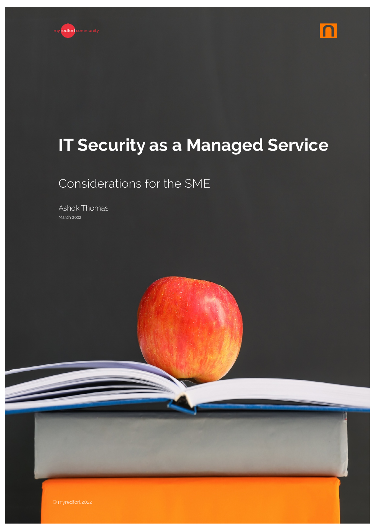



# **IT Security as a Managed Service**

Considerations for the SME

Ashok Thomas March 2022

 $\geq$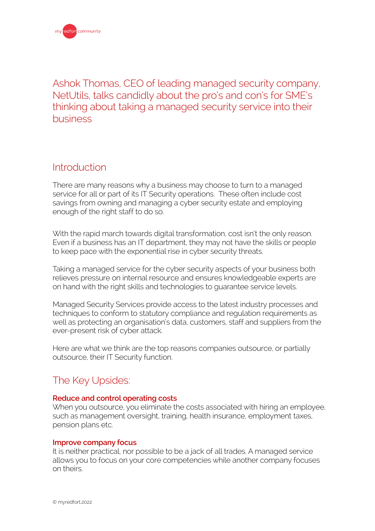Ashok Thomas, CEO of leading managed security company, NetUtils, talks candidly about the pro's and con's for SME's thinking about taking a managed security service into their business

### Introduction

There are many reasons why a business may choose to turn to a managed service for all or part of its IT Security operations. These often include cost savings from owning and managing a cyber security estate and employing enough of the right staff to do so.

With the rapid march towards digital transformation, cost isn't the only reason. Even if a business has an IT department, they may not have the skills or people to keep pace with the exponential rise in cyber security threats.

Taking a managed service for the cyber security aspects of your business both relieves pressure on internal resource and ensures knowledgeable experts are on hand with the right skills and technologies to guarantee service levels.

Managed Security Services provide access to the latest industry processes and techniques to conform to statutory compliance and regulation requirements as well as protecting an organisation's data, customers, staff and suppliers from the ever-present risk of cyber attack.

Here are what we think are the top reasons companies outsource, or partially outsource, their IT Security function.

### The Key Upsides:

#### **Reduce and control operating costs**

When you outsource, you eliminate the costs associated with hiring an employee, such as management oversight, training, health insurance, employment taxes, pension plans etc.

#### **Improve company focus**

It is neither practical, nor possible to be a jack of all trades. A managed service allows you to focus on your core competencies while another company focuses on theirs.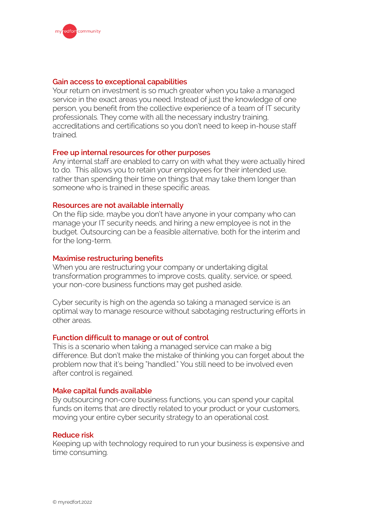#### **Gain access to exceptional capabilities**

Your return on investment is so much greater when you take a managed service in the exact areas you need. Instead of just the knowledge of one person, you benefit from the collective experience of a team of IT security professionals. They come with all the necessary industry training, accreditations and certifications so you don't need to keep in-house staff trained.

#### **Free up internal resources for other purposes**

Any internal staff are enabled to carry on with what they were actually hired to do. This allows you to retain your employees for their intended use, rather than spending their time on things that may take them longer than someone who is trained in these specific areas.

#### **Resources are not available internally**

On the flip side, maybe you don't have anyone in your company who can manage your IT security needs, and hiring a new employee is not in the budget. Outsourcing can be a feasible alternative, both for the interim and for the long-term.

#### **Maximise restructuring benefits**

When you are restructuring your company or undertaking digital transformation programmes to improve costs, quality, service, or speed, your non-core business functions may get pushed aside.

Cyber security is high on the agenda so taking a managed service is an optimal way to manage resource without sabotaging restructuring efforts in other areas.

#### **Function difficult to manage or out of control**

This is a scenario when taking a managed service can make a big difference. But don't make the mistake of thinking you can forget about the problem now that it's being "handled." You still need to be involved even after control is regained.

#### **Make capital funds available**

By outsourcing non-core business functions, you can spend your capital funds on items that are directly related to your product or your customers, moving your entire cyber security strategy to an operational cost.

#### **Reduce risk**

Keeping up with technology required to run your business is expensive and time consuming.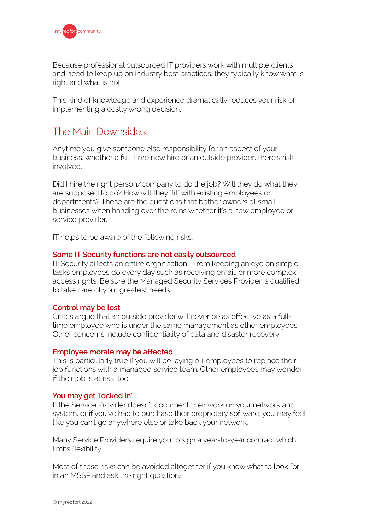

Because professional outsourced IT providers work with multiple clients and need to keep up on industry best practices, they typically know what is right and what is not.

This kind of knowledge and experience dramatically reduces your risk of implementing a costly wrong decision.

### The Main Downsides:

Anytime you give someone else responsibility for an aspect of your business, whether a full-time new hire or an outside provider, there's risk involved.

Did I hire the right person/company to do the job? Will they do what they are supposed to do? How will they "fit" with existing employees or departments? These are the questions that bother owners of small businesses when handing over the reins whether it's a new employee or service provider.

IT helps to be aware of the following risks:

#### **Some IT Security functions are not easily outsourced**

IT Security affects an entire organisation - from keeping an eye on simple tasks employees do every day such as receiving email, or more complex access rights. Be sure the Managed Security Services Provider is qualified to take care of your greatest needs.

#### **Control may be lost**

Critics argue that an outside provider will never be as effective as a fulltime employee who is under the same management as other employees. Other concerns include confidentiality of data and disaster recovery

#### **Employee morale may be affected**

This is particularly true if you will be laying off employees to replace their job functions with a managed service team. Other employees may wonder if their job is at risk, too.

#### **You may get 'locked in'**

If the Service Provider doesn't document their work on your network and system, or if you've had to purchase their proprietary software, you may feel like you can't go anywhere else or take back your network.

Many Service Providers require you to sign a year-to-year contract which limits flexibility.

Most of these risks can be avoided altogether if you know what to look for in an MSSP and ask the right questions.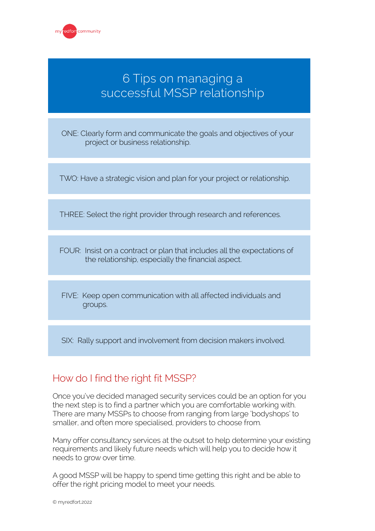

## 6 Tips on managing a successful MSSP relationship

ONE: Clearly form and communicate the goals and objectives of your project or business relationship.

TWO: Have a strategic vision and plan for your project or relationship.

THREE: Select the right provider through research and references.

FOUR: Insist on a contract or plan that includes all the expectations of the relationship, especially the financial aspect.

FIVE: Keep open communication with all affected individuals and groups.

SIX: Rally support and involvement from decision makers involved.

### How do I find the right fit MSSP?

Once you've decided managed security services could be an option for you the next step is to find a partner which you are comfortable working with. There are many MSSPs to choose from ranging from large 'bodyshops' to smaller, and often more specialised, providers to choose from.

Many offer consultancy services at the outset to help determine your existing requirements and likely future needs which will help you to decide how it needs to grow over time.

A good MSSP will be happy to spend time getting this right and be able to offer the right pricing model to meet your needs.